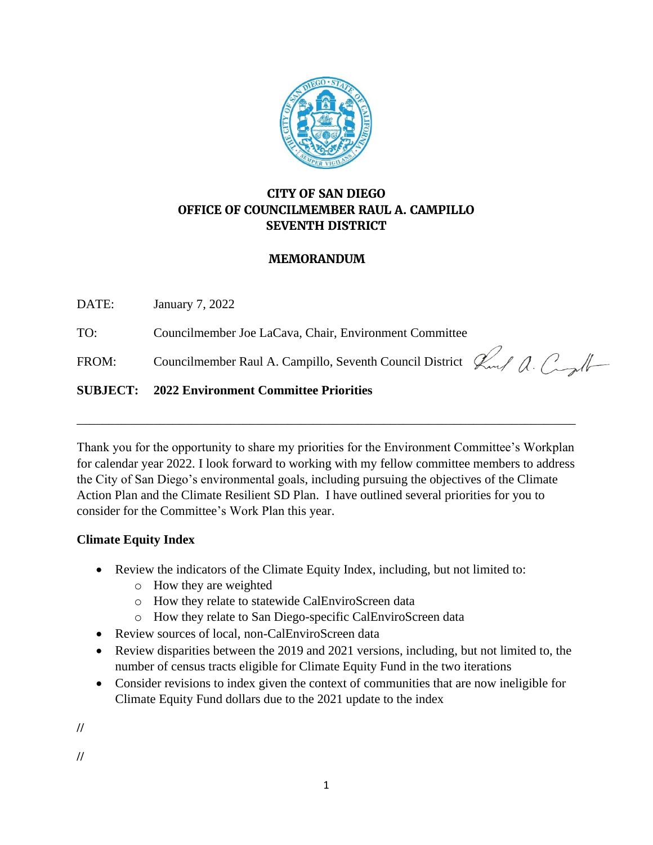

# **CITY OF SAN DIEGO OFFICE OF COUNCILMEMBER RAUL A. CAMPILLO SEVENTH DISTRICT**

## **MEMORANDUM**

DATE: January 7, 2022

TO: Councilmember Joe LaCava, Chair, Environment Committee

FROM: Councilmember Raul A. Campillo, Seventh Council District  $\mathcal{L}_{\text{ref}}$   $\mathcal{L}_{\text{ref}}$ 

## **SUBJECT: 2022 Environment Committee Priorities**

Thank you for the opportunity to share my priorities for the Environment Committee's Workplan for calendar year 2022. I look forward to working with my fellow committee members to address the City of San Diego's environmental goals, including pursuing the objectives of the Climate Action Plan and the Climate Resilient SD Plan. I have outlined several priorities for you to consider for the Committee's Work Plan this year.

\_\_\_\_\_\_\_\_\_\_\_\_\_\_\_\_\_\_\_\_\_\_\_\_\_\_\_\_\_\_\_\_\_\_\_\_\_\_\_\_\_\_\_\_\_\_\_\_\_\_\_\_\_\_\_\_\_\_\_\_\_\_\_\_\_\_\_\_\_\_\_\_\_\_\_\_\_\_

### **Climate Equity Index**

- Review the indicators of the Climate Equity Index, including, but not limited to:
	- o How they are weighted
	- o How they relate to statewide CalEnviroScreen data
	- o How they relate to San Diego-specific CalEnviroScreen data
- Review sources of local, non-CalEnviroScreen data
- Review disparities between the 2019 and 2021 versions, including, but not limited to, the number of census tracts eligible for Climate Equity Fund in the two iterations
- Consider revisions to index given the context of communities that are now ineligible for Climate Equity Fund dollars due to the 2021 update to the index

**//**

**//**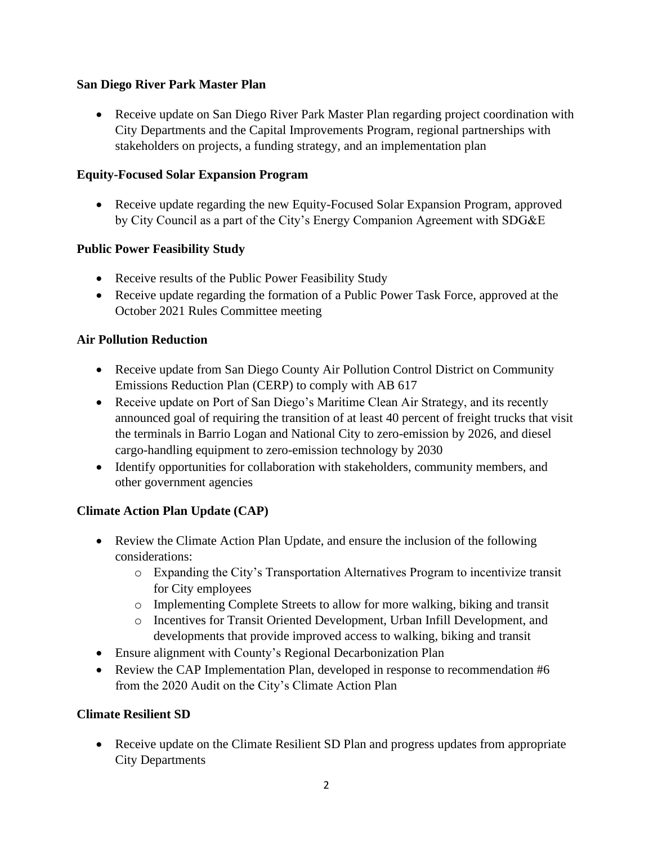### **San Diego River Park Master Plan**

• Receive update on San Diego River Park Master Plan regarding project coordination with City Departments and the Capital Improvements Program, regional partnerships with stakeholders on projects, a funding strategy, and an implementation plan

## **Equity-Focused Solar Expansion Program**

• Receive update regarding the new Equity-Focused Solar Expansion Program, approved by City Council as a part of the City's Energy Companion Agreement with SDG&E

## **Public Power Feasibility Study**

- Receive results of the Public Power Feasibility Study
- Receive update regarding the formation of a Public Power Task Force, approved at the October 2021 Rules Committee meeting

## **Air Pollution Reduction**

- Receive update from San Diego County Air Pollution Control District on Community Emissions Reduction Plan (CERP) to comply with AB 617
- Receive update on Port of San Diego's Maritime Clean Air Strategy, and its recently announced goal of requiring the transition of at least 40 percent of freight trucks that visit the terminals in Barrio Logan and National City to zero-emission by 2026, and diesel cargo-handling equipment to zero-emission technology by 2030
- Identify opportunities for collaboration with stakeholders, community members, and other government agencies

# **Climate Action Plan Update (CAP)**

- Review the Climate Action Plan Update, and ensure the inclusion of the following considerations:
	- o Expanding the City's Transportation Alternatives Program to incentivize transit for City employees
	- o Implementing Complete Streets to allow for more walking, biking and transit
	- o Incentives for Transit Oriented Development, Urban Infill Development, and developments that provide improved access to walking, biking and transit
- Ensure alignment with County's Regional Decarbonization Plan
- Review the CAP Implementation Plan, developed in response to recommendation #6 from the 2020 Audit on the City's Climate Action Plan

### **Climate Resilient SD**

• Receive update on the Climate Resilient SD Plan and progress updates from appropriate City Departments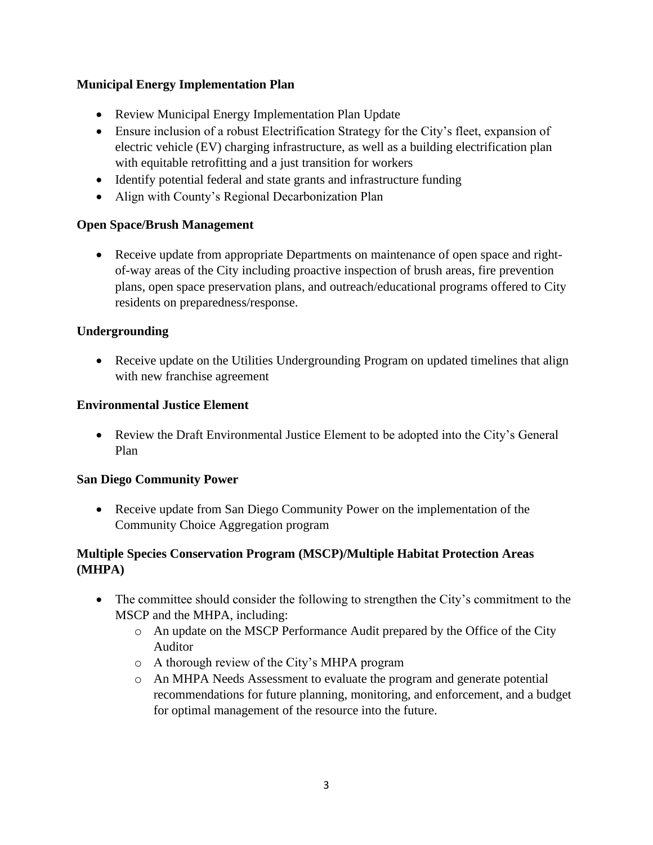## **Municipal Energy Implementation Plan**

- Review Municipal Energy Implementation Plan Update
- Ensure inclusion of a robust Electrification Strategy for the City's fleet, expansion of electric vehicle (EV) charging infrastructure, as well as a building electrification plan with equitable retrofitting and a just transition for workers
- Identify potential federal and state grants and infrastructure funding
- Align with County's Regional Decarbonization Plan

### **Open Space/Brush Management**

• Receive update from appropriate Departments on maintenance of open space and rightof-way areas of the City including proactive inspection of brush areas, fire prevention plans, open space preservation plans, and outreach/educational programs offered to City residents on preparedness/response.

### **Undergrounding**

• Receive update on the Utilities Undergrounding Program on updated timelines that align with new franchise agreement

#### **Environmental Justice Element**

• Review the Draft Environmental Justice Element to be adopted into the City's General Plan

#### **San Diego Community Power**

• Receive update from San Diego Community Power on the implementation of the Community Choice Aggregation program

## **Multiple Species Conservation Program (MSCP)/Multiple Habitat Protection Areas (MHPA)**

- The committee should consider the following to strengthen the City's commitment to the MSCP and the MHPA, including:
	- o An update on the MSCP Performance Audit prepared by the Office of the City Auditor
	- o A thorough review of the City's MHPA program
	- o An MHPA Needs Assessment to evaluate the program and generate potential recommendations for future planning, monitoring, and enforcement, and a budget for optimal management of the resource into the future.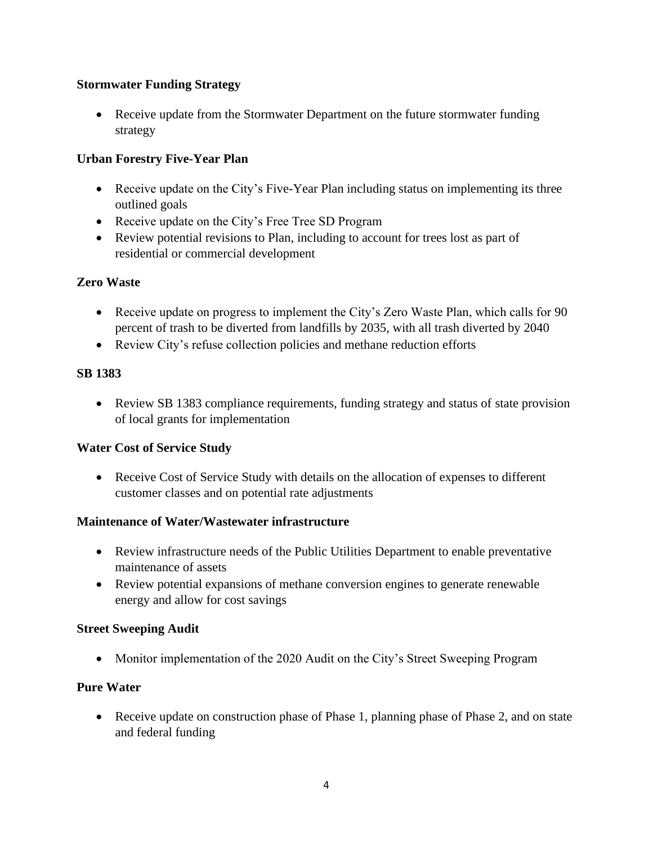## **Stormwater Funding Strategy**

• Receive update from the Stormwater Department on the future stormwater funding strategy

## **Urban Forestry Five-Year Plan**

- Receive update on the City's Five-Year Plan including status on implementing its three outlined goals
- Receive update on the City's Free Tree SD Program
- Review potential revisions to Plan, including to account for trees lost as part of residential or commercial development

## **Zero Waste**

- Receive update on progress to implement the City's Zero Waste Plan, which calls for 90 percent of trash to be diverted from landfills by 2035, with all trash diverted by 2040
- Review City's refuse collection policies and methane reduction efforts

### **SB 1383**

• Review SB 1383 compliance requirements, funding strategy and status of state provision of local grants for implementation

### **Water Cost of Service Study**

• Receive Cost of Service Study with details on the allocation of expenses to different customer classes and on potential rate adjustments

### **Maintenance of Water/Wastewater infrastructure**

- Review infrastructure needs of the Public Utilities Department to enable preventative maintenance of assets
- Review potential expansions of methane conversion engines to generate renewable energy and allow for cost savings

### **Street Sweeping Audit**

• Monitor implementation of the 2020 Audit on the City's Street Sweeping Program

# **Pure Water**

• Receive update on construction phase of Phase 1, planning phase of Phase 2, and on state and federal funding